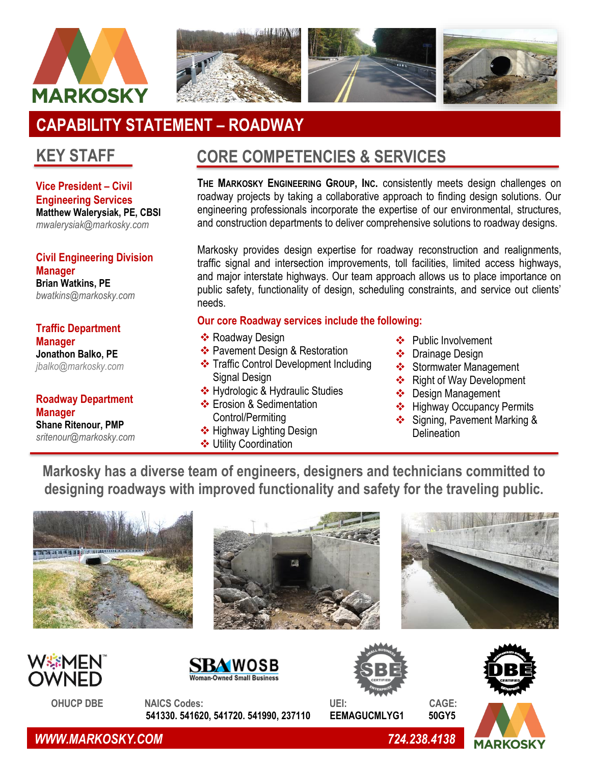



# **CAPABILITY STATEMENT – ROADWAY**

### **KEY STAFF**

**Vice President – Civil Engineering Services Matthew Walerysiak, PE, CBSI** *mwalerysiak@markosky.com*

**Civil Engineering Division Manager Brian Watkins, PE** *bwatkins@markosky.com*

**Traffic Department Manager Jonathon Balko, PE** *[jbalko@markosky.com](mailto:jbalko@markosky.com)*

**Roadway Department Manager Shane Ritenour, PMP** *sritenour@markosky.com*

## **CORE COMPETENCIES & SERVICES**

**THE MARKOSKY ENGINEERING GROUP, INC.** consistently meets design challenges on roadway projects by taking a collaborative approach to finding design solutions. Our engineering professionals incorporate the expertise of our environmental, structures, and construction departments to deliver comprehensive solutions to roadway designs.

Markosky provides design expertise for roadway reconstruction and realignments, traffic signal and intersection improvements, toll facilities, limited access highways, and major interstate highways. Our team approach allows us to place importance on public safety, functionality of design, scheduling constraints, and service out clients' needs.

#### **Our core Roadway services include the following:**

- ❖ Roadway Design
- ❖ Pavement Design & Restoration
- ❖ Traffic Control Development Including Signal Design
- ❖ Hydrologic & Hydraulic Studies
- ❖ Erosion & Sedimentation Control/Permiting
- ❖ Highway Lighting Design
- ❖ Utility Coordination
- ❖ Public Involvement
- ❖ Drainage Design
- ❖ Stormwater Management
- ❖ Right of Way Development
- ❖ Design Management
- ❖ Highway Occupancy Permits
- ❖ Signing, Pavement Marking & **Delineation**

**Markosky has a diverse team of engineers, designers and technicians committed to designing roadways with improved functionality and safety for the traveling public.**







 **OHUCP DBE NAICS Codes: UEI: CAGE: 541330. 541620, 541720. 541990, 237110 EEMAGUCMLYG1 50GY5** 







 *WWW.MARKOSKY.COM 724.238.4138*